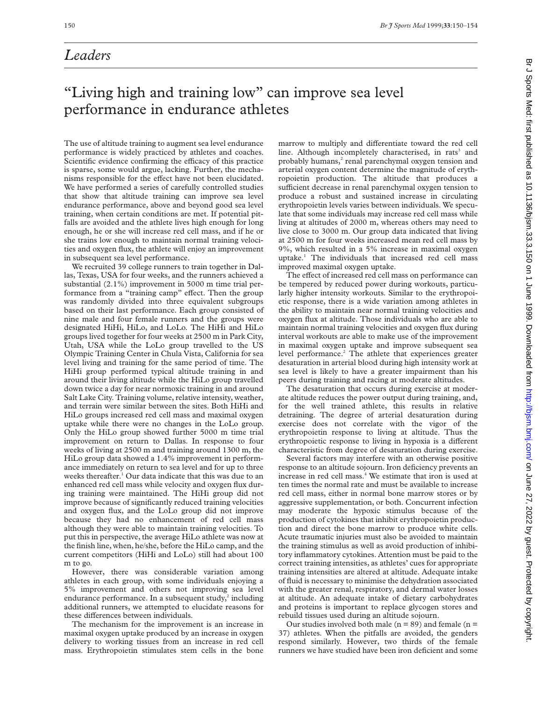### *Leaders*

# "Living high and training low" can improve sea level performance in endurance athletes

The use of altitude training to augment sea level endurance performance is widely practiced by athletes and coaches. Scientific evidence confirming the efficacy of this practice is sparse, some would argue, lacking. Further, the mechanisms responsible for the effect have not been elucidated. We have performed a series of carefully controlled studies that show that altitude training can improve sea level endurance performance, above and beyond good sea level training, when certain conditions are met. If potential pitfalls are avoided and the athlete lives high enough for long enough, he or she will increase red cell mass, and if he or she trains low enough to maintain normal training velocities and oxygen flux, the athlete will enjoy an improvement in subsequent sea level performance.

We recruited 39 college runners to train together in Dallas, Texas, USA for four weeks, and the runners achieved a substantial (2.1%) improvement in 5000 m time trial performance from a "training camp" effect. Then the group was randomly divided into three equivalent subgroups based on their last performance. Each group consisted of nine male and four female runners and the groups were designated HiHi, HiLo, and LoLo. The HiHi and HiLo groups lived together for four weeks at 2500 m in Park City, Utah, USA while the LoLo group travelled to the US Olympic Training Center in Chula Vista, California for sea level living and training for the same period of time. The HiHi group performed typical altitude training in and around their living altitude while the HiLo group travelled down twice a day for near normoxic training in and around Salt Lake City. Training volume, relative intensity, weather, and terrain were similar between the sites. Both HiHi and HiLo groups increased red cell mass and maximal oxygen uptake while there were no changes in the LoLo group. Only the HiLo group showed further 5000 m time trial improvement on return to Dallas. In response to four weeks of living at 2500 m and training around 1300 m, the HiLo group data showed a 1.4% improvement in performance immediately on return to sea level and for up to three weeks thereafter.<sup>1</sup> Our data indicate that this was due to an enhanced red cell mass while velocity and oxygen flux during training were maintained. The HiHi group did not improve because of significantly reduced training velocities and oxygen flux, and the LoLo group did not improve because they had no enhancement of red cell mass although they were able to maintain training velocities. To put this in perspective, the average HiLo athlete was now at the finish line, when, he/she, before the HiLo camp, and the current competitors (HiHi and LoLo) still had about 100 m to go.

However, there was considerable variation among athletes in each group, with some individuals enjoying a 5% improvement and others not improving sea level endurance performance. In a subsequent study, $2$  including additional runners, we attempted to elucidate reasons for these differences between individuals.

The mechanism for the improvement is an increase in maximal oxygen uptake produced by an increase in oxygen delivery to working tissues from an increase in red cell mass. Erythropoietin stimulates stem cells in the bone

marrow to multiply and differentiate toward the red cell line. Although incompletely characterised, in rats<sup>3</sup> and probably humans,<sup>2</sup> renal parenchymal oxygen tension and arterial oxygen content determine the magnitude of erythropoietin production. The altitude that produces a sufficient decrease in renal parenchymal oxygen tension to produce a robust and sustained increase in circulating erythropoietin levels varies between individuals. We speculate that some individuals may increase red cell mass while living at altitudes of 2000 m, whereas others may need to live close to 3000 m. Our group data indicated that living at 2500 m for four weeks increased mean red cell mass by 9%, which resulted in a 5% increase in maximal oxygen uptake.1 The individuals that increased red cell mass improved maximal oxygen uptake.

The effect of increased red cell mass on performance can be tempered by reduced power during workouts, particularly higher intensity workouts. Similar to the erythropoietic response, there is a wide variation among athletes in the ability to maintain near normal training velocities and oxygen flux at altitude. Those individuals who are able to maintain normal training velocities and oxygen flux during interval workouts are able to make use of the improvement in maximal oxygen uptake and improve subsequent sea level performance.<sup>2</sup> The athlete that experiences greater desaturation in arterial blood during high intensity work at sea level is likely to have a greater impairment than his peers during training and racing at moderate altitudes.

The desaturation that occurs during exercise at moderate altitude reduces the power output during training, and, for the well trained athlete, this results in relative detraining. The degree of arterial desaturation during exercise does not correlate with the vigor of the erythropoietin response to living at altitude. Thus the erythropoietic response to living in hypoxia is a different characteristic from degree of desaturation during exercise.

Several factors may interfere with an otherwise positive response to an altitude sojourn. Iron deficiency prevents an increase in red cell mass.<sup>4</sup> We estimate that iron is used at ten times the normal rate and must be available to increase red cell mass, either in normal bone marrow stores or by aggressive supplementation, or both. Concurrent infection may moderate the hypoxic stimulus because of the production of cytokines that inhibit erythropoietin production and direct the bone marrow to produce white cells. Acute traumatic injuries must also be avoided to maintain the training stimulus as well as avoid production of inhibitory inflammatory cytokines. Attention must be paid to the correct training intensities, as athletes' cues for appropriate training intensities are altered at altitude. Adequate intake of fluid is necessary to minimise the dehydration associated with the greater renal, respiratory, and dermal water losses at altitude. An adequate intake of dietary carbohydrates and proteins is important to replace glycogen stores and rebuild tissues used during an altitude sojourn.

Our studies involved both male ( $n = 89$ ) and female ( $n =$ 37) athletes. When the pitfalls are avoided, the genders respond similarly. However, two thirds of the female runners we have studied have been iron deficient and some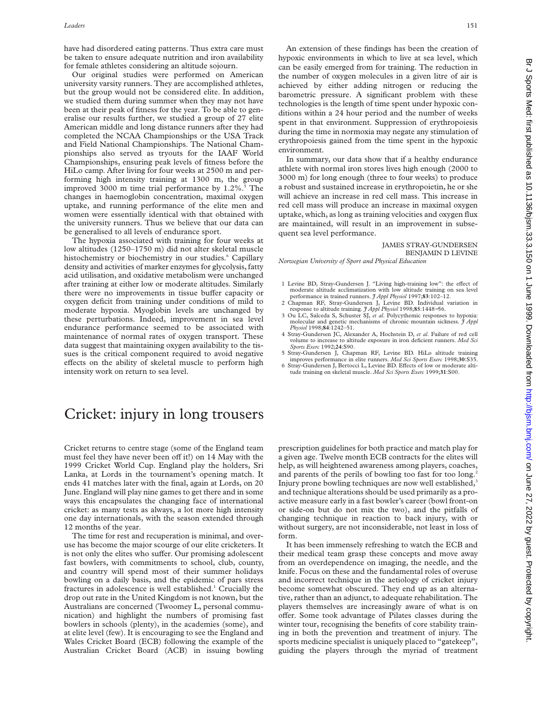have had disordered eating patterns. Thus extra care must be taken to ensure adequate nutrition and iron availability for female athletes considering an altitude sojourn.

Our original studies were performed on American university varsity runners. They are accomplished athletes, but the group would not be considered elite. In addition, we studied them during summer when they may not have been at their peak of fitness for the year. To be able to generalise our results further, we studied a group of 27 elite American middle and long distance runners after they had completed the NCAA Championships or the USA Track and Field National Championships. The National Championships also served as tryouts for the IAAF World Championships, ensuring peak levels of fitness before the HiLo camp. After living for four weeks at 2500 m and performing high intensity training at 1300 m, the group improved 3000 m time trial performance by  $1.2\%$ .<sup>5</sup> The changes in haemoglobin concentration, maximal oxygen uptake, and running performance of the elite men and women were essentially identical with that obtained with the university runners. Thus we believe that our data can be generalised to all levels of endurance sport.

The hypoxia associated with training for four weeks at low altitudes (1250–1750 m) did not alter skeletal muscle histochemistry or biochemistry in our studies.<sup>6</sup> Capillary density and activities of marker enzymes for glycolysis, fatty acid utilisation, and oxidative metabolism were unchanged after training at either low or moderate altitudes. Similarly there were no improvements in tissue buffer capacity or oxygen deficit from training under conditions of mild to moderate hypoxia. Myoglobin levels are unchanged by these perturbations. Indeed, improvement in sea level endurance performance seemed to be associated with maintenance of normal rates of oxygen transport. These data suggest that maintaining oxygen availability to the tissues is the critical component required to avoid negative effects on the ability of skeletal muscle to perform high intensity work on return to sea level.

### Cricket: injury in long trousers

Cricket returns to centre stage (some of the England team must feel they have never been off it!) on 14 May with the 1999 Cricket World Cup. England play the holders, Sri Lanka, at Lords in the tournament's opening match. It ends 41 matches later with the final, again at Lords, on 20 June. England will play nine games to get there and in some ways this encapsulates the changing face of international cricket: as many tests as always, a lot more high intensity one day internationals, with the season extended through 12 months of the year.

The time for rest and recuperation is minimal, and overuse has become the major scourge of our elite cricketers. It is not only the elites who suffer. Our promising adolescent fast bowlers, with commitments to school, club, county, and country will spend most of their summer holidays bowling on a daily basis, and the epidemic of pars stress fractures in adolescence is well established.<sup>1</sup> Crucially the drop out rate in the United Kingdom is not known, but the Australians are concerned (Twoomey L, personal communication) and highlight the numbers of promising fast bowlers in schools (plenty), in the academies (some), and at elite level (few). It is encouraging to see the England and Wales Cricket Board (ECB) following the example of the Australian Cricket Board (ACB) in issuing bowling

An extension of these findings has been the creation of hypoxic environments in which to live at sea level, which can be easily emerged from for training. The reduction in the number of oxygen molecules in a given litre of air is achieved by either adding nitrogen or reducing the barometric pressure. A significant problem with these technologies is the length of time spent under hypoxic conditions within a 24 hour period and the number of weeks spent in that environment. Suppression of erythropoiesis during the time in normoxia may negate any stimulation of erythropoiesis gained from the time spent in the hypoxic environment.

In summary, our data show that if a healthy endurance athlete with normal iron stores lives high enough (2000 to 3000 m) for long enough (three to four weeks) to produce a robust and sustained increase in erythropoietin, he or she will achieve an increase in red cell mass. This increase in red cell mass will produce an increase in maximal oxygen uptake, which, as long as training velocities and oxygen flux are maintained, will result in an improvement in subsequent sea level performance.

#### JAMES STRAY-GUNDERSEN BENJAMIN D LEVINE

*Norwegian University of Sport and Physical Education*

- 1 Levine BD, Stray-Gundersen J. "Living high-training low": the effect of moderate altitude acclimatization with low altitude training on sea level performance in trained runners. *J Appl Physiol* 1997;**83**:102–12.
- 2 Chapman RF, Stray-Gundersen J, Levine BD. Individual variation in response to altitude training. *J Appl Physiol* 1998;**85**:1448−56.
- 3 Ou LC, Salceda S, Schuster SJ, *et al*. Polycythemic responses to hypoxia: molecular and genetic mechanisms of chronic mountain sickness. *J Appl Physiol* 1998;**84**:1242–51.
- 4 Stray-Gundersen JC, Alexander A, Hochstein D, *et al*. Failure of red cell volume to increase to altitude exposure in iron deficient runners. *Med Sci Sports Exerc* 1992;**24**:S90.
- 5 Stray-Gundersen J, Chapman RF, Levine BD. HiLo altitude training improves performance in elite runners. *Med Sci Sports Exerc* 1998;**30**:S35.
- 6 Stray-Gundersen J, Bertocci L, Levine BD. Effects of low or moderate altitude training on skeletal muscle. *Med Sci Sports Exerc* 1999;31:S00.

prescription guidelines for both practice and match play for a given age. Twelve month ECB contracts for the elites will help, as will heightened awareness among players, coaches, and parents of the perils of bowling too fast for too long.<sup>2</sup> Injury prone bowling techniques are now well established,<sup>3</sup> and technique alterations should be used primarily as a proactive measure early in a fast bowler's career (bowl front-on or side-on but do not mix the two), and the pitfalls of changing technique in reaction to back injury, with or without surgery, are not inconsiderable, not least in loss of form.

It has been immensely refreshing to watch the ECB and their medical team grasp these concepts and move away from an overdependence on imaging, the needle, and the knife. Focus on these and the fundamental roles of overuse and incorrect technique in the aetiology of cricket injury become somewhat obscured. They end up as an alternative, rather than an adjunct, to adequate rehabilitation. The players themselves are increasingly aware of what is on offer. Some took advantage of Pilates classes during the winter tour, recognising the benefits of core stability training in both the prevention and treatment of injury. The sports medicine specialist is uniquely placed to "gatekeep", guiding the players through the myriad of treatment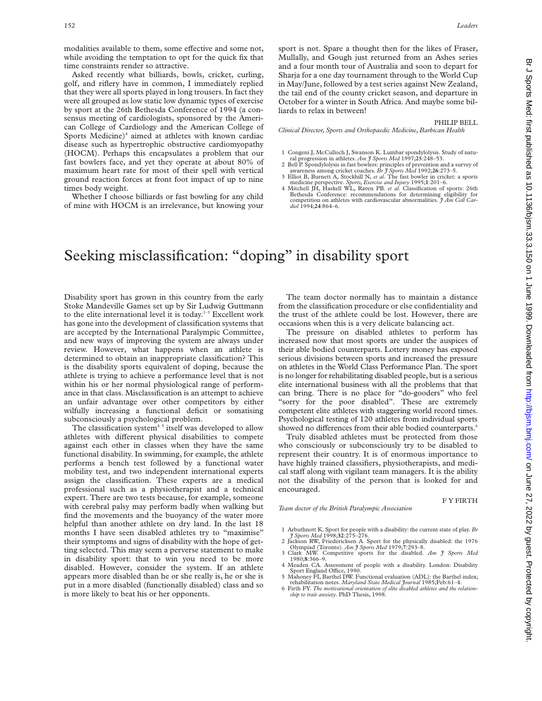modalities available to them, some effective and some not, while avoiding the temptation to opt for the quick fix that time constraints render so attractive.

Asked recently what billiards, bowls, cricket, curling, golf, and riflery have in common, I immediately replied that they were all sports played in long trousers. In fact they were all grouped as low static low dynamic types of exercise by sport at the 26th Bethesda Conference of 1994 (a consensus meeting of cardiologists, sponsored by the American College of Cardiology and the American College of Sports Medicine)<sup>4</sup> aimed at athletes with known cardiac disease such as hypertrophic obstructive cardiomyopathy (HOCM). Perhaps this encapsulates a problem that our fast bowlers face, and yet they operate at about 80% of maximum heart rate for most of their spell with vertical ground reaction forces at front foot impact of up to nine times body weight.

Whether I choose billiards or fast bowling for any child of mine with HOCM is an irrelevance, but knowing your sport is not. Spare a thought then for the likes of Fraser, Mullally, and Gough just returned from an Ashes series and a four month tour of Australia and soon to depart for Sharja for a one day tournament through to the World Cup in May/June, followed by a test series against New Zealand, the tail end of the county cricket season, and departure in October for a winter in South Africa. And maybe some billiards to relax in between!

PHILIP BELL

*Clinical Director, Sports and Orthopaedic Medicine, Barbican Health*

- 1 Congeni J, McCulloch J, Swanson K. Lumbar spondylolysis. Study of natu-ral progression in athletes. *Am J Sports Med* 1997;**25**:248–53.
- 2 Bell P. Spondylolysis in fast bowlers: principles of prevention and a survey of awareness among cricket coaches. *Br J* Sports *Med* 1992;26:273–5. Blind B, Burnett A, Stockhill N, *et al.* The fast bowler in cricket: a
- 
- 4 Mitchell JH, Haskell WL, Raven PB. *et al*. Classification of sports: 26th Bethesda Conference: recommendations for determining eligibility for competition on athletes with cardiovascular abnormalities. *J Am Coll Cardiol* 1994;**24**:864–6.

## Seeking misclassification: "doping" in disability sport

Disability sport has grown in this country from the early Stoke Mandeville Games set up by Sir Ludwig Guttmann to the elite international level it is today.<sup>1-3</sup> Excellent work has gone into the development of classification systems that are accepted by the International Paralympic Committee, and new ways of improving the system are always under review. However, what happens when an athlete is determined to obtain an inappropriate classification? This is the disability sports equivalent of doping, because the athlete is trying to achieve a performance level that is not within his or her normal physiological range of performance in that class. Misclassification is an attempt to achieve an unfair advantage over other competitors by either wilfully increasing a functional deficit or somatising subconsciously a psychological problem.

The classification system $45$  itself was developed to allow athletes with different physical disabilities to compete against each other in classes when they have the same functional disability. In swimming, for example, the athlete performs a bench test followed by a functional water mobility test, and two independent international experts assign the classification. These experts are a medical professional such as a physiotherapist and a technical expert. There are two tests because, for example, someone with cerebral palsy may perform badly when walking but find the movements and the buoyancy of the water more helpful than another athlete on dry land. In the last 18 months I have seen disabled athletes try to "maximise" their symptoms and signs of disability with the hope of getting selected. This may seem a perverse statement to make in disability sport: that to win you need to be more disabled. However, consider the system. If an athlete appears more disabled than he or she really is, he or she is put in a more disabled (functionally disabled) class and so is more likely to beat his or her opponents.

The team doctor normally has to maintain a distance from the classification procedure or else confidentiality and the trust of the athlete could be lost. However, there are occasions when this is a very delicate balancing act.

The pressure on disabled athletes to perform has increased now that most sports are under the auspices of their able bodied counterparts. Lottery money has exposed serious divisions between sports and increased the pressure on athletes in the World Class Performance Plan. The sport is no longer for rehabilitating disabled people, but is a serious elite international business with all the problems that that can bring. There is no place for "do-gooders" who feel "sorry for the poor disabled". These are extremely competent elite athletes with staggering world record times. Psychological testing of 120 athletes from individual sports showed no differences from their able bodied counterparts.<sup>6</sup>

Truly disabled athletes must be protected from those who consciously or subconsciously try to be disabled to represent their country. It is of enormous importance to have highly trained classifiers, physiotherapists, and medical staff along with vigilant team managers. It is the ability not the disability of the person that is looked for and encouraged.

*Team doctor of the British Paralympic Association*

F Y FIRTH

- 1 Arbuthnott K. Sport for people with a disability: the current state of play. *Br J Sports Med* 1998;**32**:275–276.
- 2 Jackson RW, Friedericksen A. Sport for the physically disabled: the 1976 Olympiad (Toronto). *Am J Sports Med* 1979;**7**:293–8.
- 3 Clark MW. Competitive sports for the disabled. *Am J Sports Med* 1980;**8**:366–9.
- 4 Meaden CA. Assessment of people with a disability. London: Disability Sport England Office, 1990. 5 Mahoney FI, Barthel DW. Functional evaluation (ADL): the Barthel index;
- rehabilitation notes. *Maryland State Medical Journal* 1985;Feb:61–4. 6 Firth FY. *The motivational orientation of elite disabled athletes and the relation-ship to trait anxiety*. PhD Thesis, 1998.
-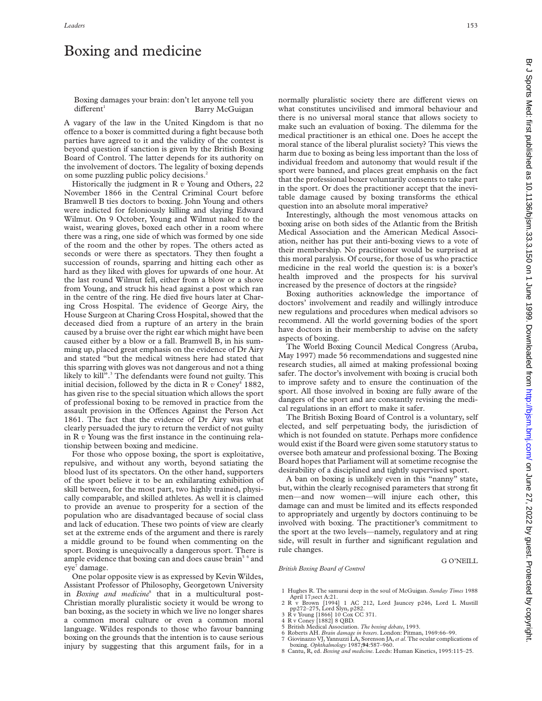## Boxing and medicine

#### Boxing damages your brain: don't let anyone tell you different<sup>1</sup> Barry McGuigan

A vagary of the law in the United Kingdom is that no offence to a boxer is committed during a fight because both parties have agreed to it and the validity of the contest is beyond question if sanction is given by the British Boxing Board of Control. The latter depends for its authority on the involvement of doctors. The legality of boxing depends on some puzzling public policy decisions.2

Historically the judgment in R *v* Young and Others, 22 November 1866 in the Central Criminal Court before Bramwell B ties doctors to boxing. John Young and others were indicted for feloniously killing and slaying Edward Wilmut. On 9 October, Young and Wilmut naked to the waist, wearing gloves, boxed each other in a room where there was a ring, one side of which was formed by one side of the room and the other by ropes. The others acted as seconds or were there as spectators. They then fought a succession of rounds, sparring and hitting each other as hard as they liked with gloves for upwards of one hour. At the last round Wilmut fell, either from a blow or a shove from Young, and struck his head against a post which ran in the centre of the ring. He died five hours later at Charing Cross Hospital. The evidence of George Airy, the House Surgeon at Charing Cross Hospital, showed that the deceased died from a rupture of an artery in the brain caused by a bruise over the right ear which might have been caused either by a blow or a fall. Bramwell B, in his summing up, placed great emphasis on the evidence of Dr Airy and stated "but the medical witness here had stated that this sparring with gloves was not dangerous and not a thing likely to kill".<sup>3</sup> The defendants were found not guilty. This initial decision, followed by the dicta in R  $v$  Coney<sup>4</sup> 1882, has given rise to the special situation which allows the sport of professional boxing to be removed in practice from the assault provision in the Offences Against the Person Act 1861. The fact that the evidence of Dr Airy was what clearly persuaded the jury to return the verdict of not guilty in R *v* Young was the first instance in the continuing relationship between boxing and medicine.

For those who oppose boxing, the sport is exploitative, repulsive, and without any worth, beyond satiating the blood lust of its spectators. On the other hand, supporters of the sport believe it to be an exhilarating exhibition of skill between, for the most part, two highly trained, physically comparable, and skilled athletes. As well it is claimed to provide an avenue to prosperity for a section of the population who are disadvantaged because of social class and lack of education. These two points of view are clearly set at the extreme ends of the argument and there is rarely a middle ground to be found when commenting on the sport. Boxing is unequivocally a dangerous sport. There is ample evidence that boxing can and does cause brain<sup>56</sup> and eye<sup>7</sup> damage.

One polar opposite view is as expressed by Kevin Wildes, Assistant Professor of Philosophy, Georgetown University in *Boxing and medicine*<sup>8</sup> that in a multicultural post-Christian morally pluralistic society it would be wrong to ban boxing, as the society in which we live no longer shares a common moral culture or even a common moral language. Wildes responds to those who favour banning boxing on the grounds that the intention is to cause serious injury by suggesting that this argument fails, for in a

normally pluralistic society there are different views on what constitutes uncivilised and immoral behaviour and there is no universal moral stance that allows society to make such an evaluation of boxing. The dilemma for the medical practitioner is an ethical one. Does he accept the moral stance of the liberal pluralist society? This views the harm due to boxing as being less important than the loss of individual freedom and autonomy that would result if the sport were banned, and places great emphasis on the fact that the professional boxer voluntarily consents to take part in the sport. Or does the practitioner accept that the inevitable damage caused by boxing transforms the ethical question into an absolute moral imperative?

Interestingly, although the most venomous attacks on boxing arise on both sides of the Atlantic from the British Medical Association and the American Medical Association, neither has put their anti-boxing views to a vote of their membership. No practitioner would be surprised at this moral paralysis. Of course, for those of us who practice medicine in the real world the question is: is a boxer's health improved and the prospects for his survival increased by the presence of doctors at the ringside?

Boxing authorities acknowledge the importance of doctors' involvement and readily and willingly introduce new regulations and procedures when medical advisors so recommend. All the world governing bodies of the sport have doctors in their membership to advise on the safety aspects of boxing.

The World Boxing Council Medical Congress (Aruba, May 1997) made 56 recommendations and suggested nine research studies, all aimed at making professional boxing safer. The doctor's involvement with boxing is crucial both to improve safety and to ensure the continuation of the sport. All those involved in boxing are fully aware of the dangers of the sport and are constantly revising the medical regulations in an effort to make it safer.

The British Boxing Board of Control is a voluntary, self elected, and self perpetuating body, the jurisdiction of which is not founded on statute. Perhaps more confidence would exist if the Board were given some statutory status to oversee both amateur and professional boxing. The Boxing Board hopes that Parliament will at sometime recognise the desirability of a disciplined and tightly supervised sport.

A ban on boxing is unlikely even in this "nanny" state, but, within the clearly recognised parameters that strong fit men—and now women—will injure each other, this damage can and must be limited and its effects responded to appropriately and urgently by doctors continuing to be involved with boxing. The practitioner's commitment to the sport at the two levels—namely, regulatory and at ring side, will result in further and significant regulation and rule changes.

*British Boxing Board of Control*

G O'NEILL

- 1 Hughes R. The samurai deep in the soul of McGuigan. *Sunday Times* 1988 April 17;sect A:21. 2 R v Brown [1994] 1 AC 212, Lord Jauncey p246, Lord L Mustill
- pp272–275, Lord Slyn, p282. 3 R v Young [1866] 10 Cox CC 371.
- 
- 
- 4 R v Coney [1882] 8 QBD. 5 British Medical Association. *The boxing debate*, 1993.
- 6 Roberts AH. *Brain damage in boxers*. London: Pitman, 1969:66–99. 7 Giovinazzo VJ, Yannuzzi LA, Sorenson JA,*et al*. The ocular complications of boxing. *Ophthalmology* 1987;**94**:587–960.
- 8 Cantu, R, ed. *Boxing and medicine*. Leeds: Human Kinetics, 1995:115–25.